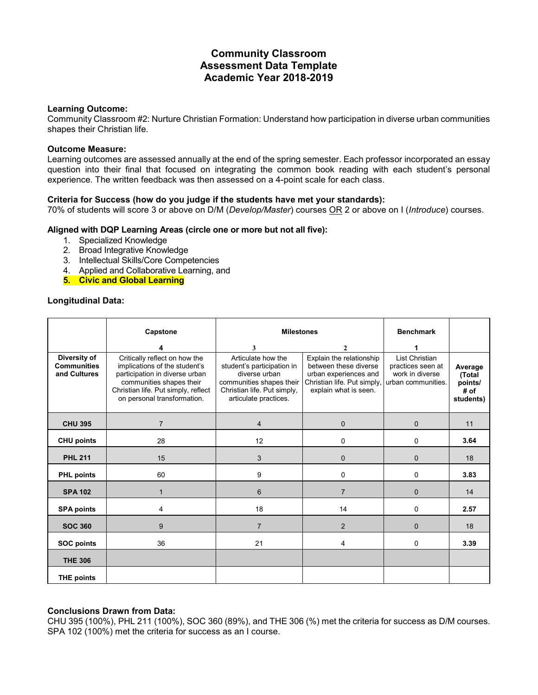# **Community Classroom Assessment Data Template Academic Year 2018-2019**

#### **Learning Outcome:**

Community Classroom #2: Nurture Christian Formation: Understand how participation in diverse urban communities shapes their Christian life.

#### **Outcome Measure:**

Learning outcomes are assessed annually at the end of the spring semester. Each professor incorporated an essay question into their final that focused on integrating the common book reading with each student's personal experience. The written feedback was then assessed on a 4-point scale for each class.

## **Criteria for Success (how do you judge if the students have met your standards):**

70% of students will score 3 or above on D/M (*Develop/Master*) courses OR 2 or above on I (*Introduce*) courses.

#### **Aligned with DQP Learning Areas (circle one or more but not all five):**

- 1. Specialized Knowledge
- 2. Broad Integrative Knowledge
- 3. Intellectual Skills/Core Competencies
- 4. Applied and Collaborative Learning, and
- **5. Civic and Global Learning**

#### **Longitudinal Data:**

|                                                    | Capstone                                                                                                                                                                                           | <b>Milestones</b>                                                                                                                                     |                                                                                                                                    | <b>Benchmark</b>                                                             |                                                   |
|----------------------------------------------------|----------------------------------------------------------------------------------------------------------------------------------------------------------------------------------------------------|-------------------------------------------------------------------------------------------------------------------------------------------------------|------------------------------------------------------------------------------------------------------------------------------------|------------------------------------------------------------------------------|---------------------------------------------------|
|                                                    |                                                                                                                                                                                                    | 3                                                                                                                                                     | $\mathbf{2}$                                                                                                                       |                                                                              |                                                   |
| Diversity of<br><b>Communities</b><br>and Cultures | Critically reflect on how the<br>implications of the student's<br>participation in diverse urban<br>communities shapes their<br>Christian life. Put simply, reflect<br>on personal transformation. | Articulate how the<br>student's participation in<br>diverse urban<br>communities shapes their<br>Christian life. Put simply,<br>articulate practices. | Explain the relationship<br>between these diverse<br>urban experiences and<br>Christian life. Put simply,<br>explain what is seen. | List Christian<br>practices seen at<br>work in diverse<br>urban communities. | Average<br>(Total<br>points/<br># of<br>students) |
| <b>CHU 395</b>                                     | $\overline{7}$                                                                                                                                                                                     | $\overline{4}$                                                                                                                                        | $\mathbf{0}$                                                                                                                       | $\mathbf{0}$                                                                 | 11                                                |
| <b>CHU points</b>                                  | 28                                                                                                                                                                                                 | 12                                                                                                                                                    | 0                                                                                                                                  | 0                                                                            | 3.64                                              |
| <b>PHL 211</b>                                     | 15                                                                                                                                                                                                 | 3                                                                                                                                                     | $\mathbf{0}$                                                                                                                       | $\mathbf{0}$                                                                 | 18                                                |
| <b>PHL points</b>                                  | 60                                                                                                                                                                                                 | 9                                                                                                                                                     | 0                                                                                                                                  | 0                                                                            | 3.83                                              |
| <b>SPA 102</b>                                     | 1                                                                                                                                                                                                  | 6                                                                                                                                                     | $\overline{7}$                                                                                                                     | $\mathbf{0}$                                                                 | 14                                                |
| <b>SPA points</b>                                  | 4                                                                                                                                                                                                  | 18                                                                                                                                                    | 14                                                                                                                                 | 0                                                                            | 2.57                                              |
| <b>SOC 360</b>                                     | 9                                                                                                                                                                                                  | $\overline{7}$                                                                                                                                        | $\overline{2}$                                                                                                                     | $\Omega$                                                                     | 18                                                |
| <b>SOC points</b>                                  | 36                                                                                                                                                                                                 | 21                                                                                                                                                    | 4                                                                                                                                  | 0                                                                            | 3.39                                              |
| <b>THE 306</b>                                     |                                                                                                                                                                                                    |                                                                                                                                                       |                                                                                                                                    |                                                                              |                                                   |
| <b>THE points</b>                                  |                                                                                                                                                                                                    |                                                                                                                                                       |                                                                                                                                    |                                                                              |                                                   |

#### **Conclusions Drawn from Data:**

CHU 395 (100%), PHL 211 (100%), SOC 360 (89%), and THE 306 (%) met the criteria for success as D/M courses. SPA 102 (100%) met the criteria for success as an I course.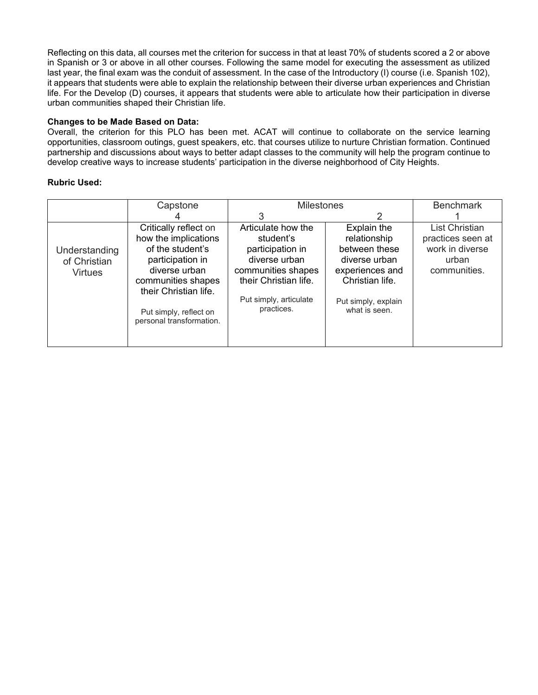Reflecting on this data, all courses met the criterion for success in that at least 70% of students scored a 2 or above in Spanish or 3 or above in all other courses. Following the same model for executing the assessment as utilized last year, the final exam was the conduit of assessment. In the case of the Introductory (I) course (i.e. Spanish 102), it appears that students were able to explain the relationship between their diverse urban experiences and Christian life. For the Develop (D) courses, it appears that students were able to articulate how their participation in diverse urban communities shaped their Christian life.

# **Changes to be Made Based on Data:**

Overall, the criterion for this PLO has been met. ACAT will continue to collaborate on the service learning opportunities, classroom outings, guest speakers, etc. that courses utilize to nurture Christian formation. Continued partnership and discussions about ways to better adapt classes to the community will help the program continue to develop creative ways to increase students' participation in the diverse neighborhood of City Heights.

# **Rubric Used:**

|                                                 | Capstone                                                                                                                                                                                                    | <b>Milestones</b>                                                                                                                                           |                                                                                                                                             | <b>Benchmark</b>                                                                       |  |
|-------------------------------------------------|-------------------------------------------------------------------------------------------------------------------------------------------------------------------------------------------------------------|-------------------------------------------------------------------------------------------------------------------------------------------------------------|---------------------------------------------------------------------------------------------------------------------------------------------|----------------------------------------------------------------------------------------|--|
|                                                 |                                                                                                                                                                                                             | 3                                                                                                                                                           | 2                                                                                                                                           |                                                                                        |  |
| Understanding<br>of Christian<br><b>Virtues</b> | Critically reflect on<br>how the implications<br>of the student's<br>participation in<br>diverse urban<br>communities shapes<br>their Christian life.<br>Put simply, reflect on<br>personal transformation. | Articulate how the<br>student's<br>participation in<br>diverse urban<br>communities shapes<br>their Christian life.<br>Put simply, articulate<br>practices. | Explain the<br>relationship<br>between these<br>diverse urban<br>experiences and<br>Christian life.<br>Put simply, explain<br>what is seen. | <b>List Christian</b><br>practices seen at<br>work in diverse<br>urban<br>communities. |  |